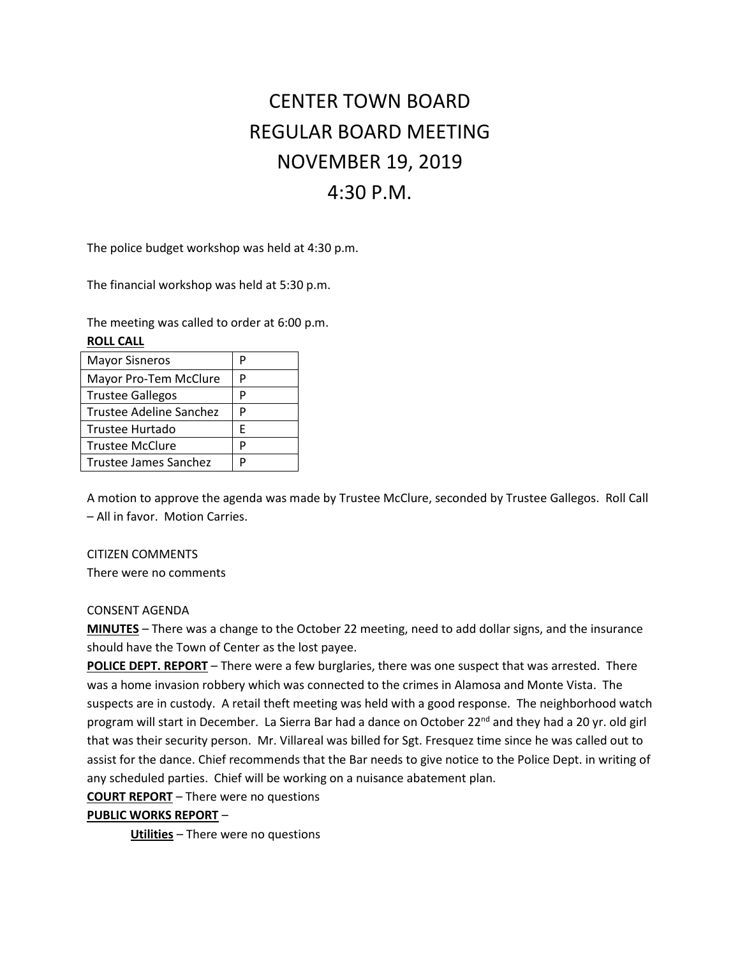# CENTER TOWN BOARD REGULAR BOARD MEETING NOVEMBER 19, 2019 4:30 P.M.

The police budget workshop was held at 4:30 p.m.

The financial workshop was held at 5:30 p.m.

The meeting was called to order at 6:00 p.m. **ROLL CALL**

| <b>Mayor Sisneros</b>   | Р |
|-------------------------|---|
| Mayor Pro-Tem McClure   | P |
| <b>Trustee Gallegos</b> | P |
| Trustee Adeline Sanchez | P |
| <b>Trustee Hurtado</b>  | F |
| <b>Trustee McClure</b>  | P |
| Trustee James Sanchez   |   |

A motion to approve the agenda was made by Trustee McClure, seconded by Trustee Gallegos. Roll Call – All in favor. Motion Carries.

## CITIZEN COMMENTS

There were no comments

## CONSENT AGENDA

**MINUTES** – There was a change to the October 22 meeting, need to add dollar signs, and the insurance should have the Town of Center as the lost payee.

**POLICE DEPT. REPORT** – There were a few burglaries, there was one suspect that was arrested. There was a home invasion robbery which was connected to the crimes in Alamosa and Monte Vista. The suspects are in custody. A retail theft meeting was held with a good response. The neighborhood watch program will start in December. La Sierra Bar had a dance on October 22<sup>nd</sup> and they had a 20 yr. old girl that was their security person. Mr. Villareal was billed for Sgt. Fresquez time since he was called out to assist for the dance. Chief recommends that the Bar needs to give notice to the Police Dept. in writing of any scheduled parties. Chief will be working on a nuisance abatement plan.

**COURT REPORT** – There were no questions

## **PUBLIC WORKS REPORT** –

**Utilities** – There were no questions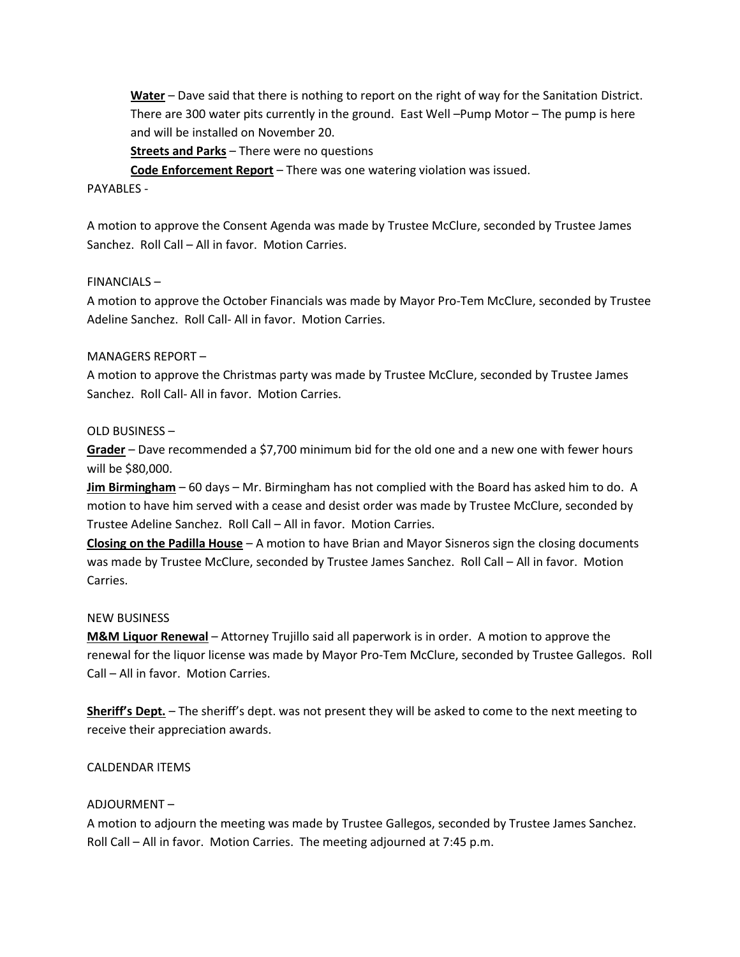**Water** – Dave said that there is nothing to report on the right of way for the Sanitation District. There are 300 water pits currently in the ground. East Well –Pump Motor – The pump is here and will be installed on November 20.

**Streets and Parks** – There were no questions

**Code Enforcement Report** – There was one watering violation was issued.

### PAYABLES -

A motion to approve the Consent Agenda was made by Trustee McClure, seconded by Trustee James Sanchez. Roll Call – All in favor. Motion Carries.

#### FINANCIALS –

A motion to approve the October Financials was made by Mayor Pro-Tem McClure, seconded by Trustee Adeline Sanchez. Roll Call- All in favor. Motion Carries.

#### MANAGERS REPORT –

A motion to approve the Christmas party was made by Trustee McClure, seconded by Trustee James Sanchez. Roll Call- All in favor. Motion Carries.

### OLD BUSINESS –

**Grader** – Dave recommended a \$7,700 minimum bid for the old one and a new one with fewer hours will be \$80,000.

**Jim Birmingham** – 60 days – Mr. Birmingham has not complied with the Board has asked him to do. A motion to have him served with a cease and desist order was made by Trustee McClure, seconded by Trustee Adeline Sanchez. Roll Call – All in favor. Motion Carries.

**Closing on the Padilla House** – A motion to have Brian and Mayor Sisneros sign the closing documents was made by Trustee McClure, seconded by Trustee James Sanchez. Roll Call – All in favor. Motion Carries.

## NEW BUSINESS

**M&M Liquor Renewal** – Attorney Trujillo said all paperwork is in order. A motion to approve the renewal for the liquor license was made by Mayor Pro-Tem McClure, seconded by Trustee Gallegos. Roll Call – All in favor. Motion Carries.

**Sheriff's Dept.** – The sheriff's dept. was not present they will be asked to come to the next meeting to receive their appreciation awards.

## CALDENDAR ITEMS

## ADJOURMENT –

A motion to adjourn the meeting was made by Trustee Gallegos, seconded by Trustee James Sanchez. Roll Call – All in favor. Motion Carries. The meeting adjourned at 7:45 p.m.